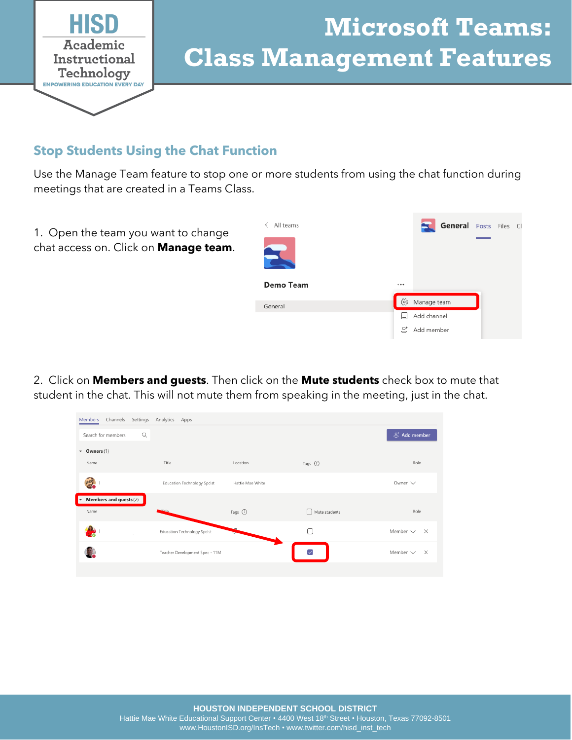

# **Microsoft Teams: Class Management Features**

#### **Stop Students Using the Chat Function**

Use the Manage Team feature to stop one or more students from using the chat function during meetings that are created in a Teams Class.



2. Click on **Members and guests**. Then click on the **Mute students** check box to mute that student in the chat. This will not mute them from speaking in the meeting, just in the chat.

| Members Channels               | Settings Analytics Apps            |                  |                   |                                 |
|--------------------------------|------------------------------------|------------------|-------------------|---------------------------------|
| $\alpha$<br>Search for members |                                    |                  |                   | $\mathfrak{S}^{\!+}$ Add member |
| Owners (1)<br>$\mathbf{v}$     |                                    |                  |                   |                                 |
| Name                           | Title                              | Location         | Tags (1)          | Role                            |
|                                | <b>Education Technology Spclst</b> | Hattie Mae White |                   | Owner $\vee$                    |
| Members and guests (2)<br>I۰   |                                    |                  |                   |                                 |
| Name                           | مانته                              | Tags ①           | Mute students     | Role                            |
|                                | Education Technology Spclst        |                  |                   | Member $\vee$ $\times$          |
|                                | Teacher Development Spec - 11M     |                  | $\overline{\vee}$ | Member $\vee$ $\times$          |
|                                |                                    |                  |                   |                                 |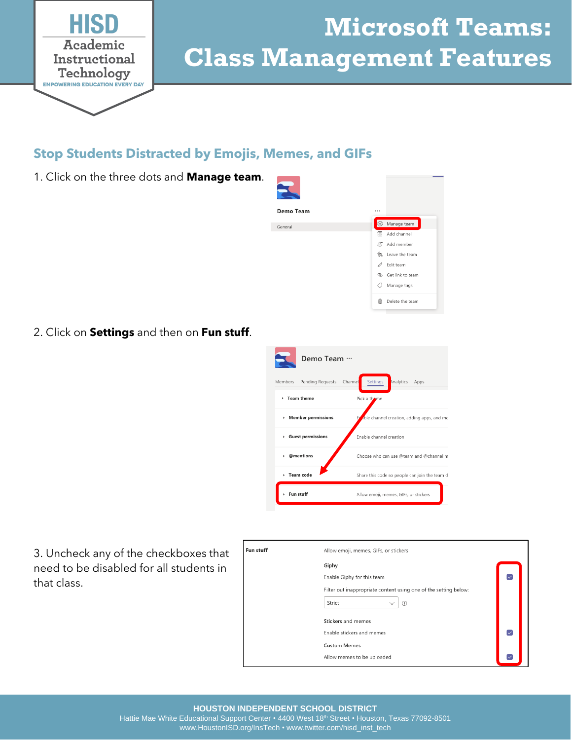

## **Microsoft Teams: Class Management Features**

#### **Stop Students Distracted by Emojis, Memes, and GIFs**

1. Click on the three dots and **Manage team**.



2. Click on **Settings** and then on **Fun stuff**.



3. Uncheck any of the checkboxes that need to be disabled for all students in that class.

| Fun stuff | Allow emoji, memes, GIFs, or stickers                                                                                        |                         |  |
|-----------|------------------------------------------------------------------------------------------------------------------------------|-------------------------|--|
|           | Giphy<br>Enable Giphy for this team<br>Filter out inappropriate content using one of the setting below:<br>Strict<br>$\circ$ | $\overline{\checkmark}$ |  |
|           | <b>Stickers and memes</b><br>Enable stickers and memes<br><b>Custom Memes</b>                                                | $\triangledown$         |  |
|           | Allow memes to be uploaded                                                                                                   |                         |  |

Hattie Mae White Educational Support Center • 4400 West 18<sup>th</sup> Street • Houston, Texas 77092-8501 www.HoustonISD.org/InsTech • www.twitter.com/hisd\_inst\_tech